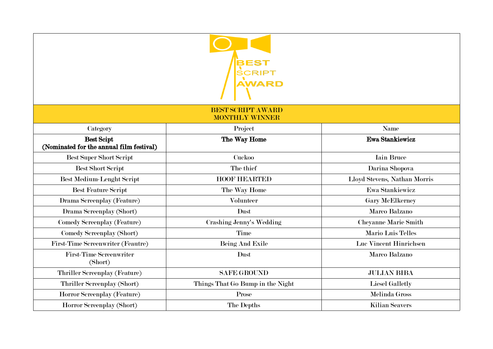| SCRIPT<br><b>AWARD</b><br><b>BEST SCRIPT AWARD</b>            |                                  |                              |  |  |
|---------------------------------------------------------------|----------------------------------|------------------------------|--|--|
|                                                               |                                  |                              |  |  |
| <b>Best Scipt</b><br>(Nominated for the annual film festival) | The Way Home                     | <b>Ewa Stankiewicz</b>       |  |  |
| <b>Best Super Short Script</b>                                | Cuckoo                           | <b>Iain Bruce</b>            |  |  |
| <b>Best Short Script</b>                                      | The thief                        | Darina Shopova               |  |  |
| <b>Best Medium-Lenght Script</b>                              | <b>HOOF HEARTED</b>              | Lloyd Stevens, Nathan Morris |  |  |
| <b>Best Feature Script</b>                                    | The Way Home                     | Ewa Stankiewicz              |  |  |
| Drama Screenplay (Feature)                                    | <b>Volunteer</b>                 | <b>Gary McElkerney</b>       |  |  |
| Drama Screenplay (Short)                                      | Dust                             | Marco Balzano                |  |  |
| Comedy Screenplay (Feature)                                   | Crashing Jenny's Wedding         | Cheyanne Marie Smith         |  |  |
| Comedy Screenplay (Short)                                     | Time                             | Mario Luis Telles            |  |  |
| First-Time Screenwriter (Feautre)                             | <b>Being And Exile</b>           | Luc Vincent Hinrichsen       |  |  |
| <b>First-Time Screenwriter</b><br>(Short)                     | Dust                             | Marco Balzano                |  |  |
| Thriller Screenplay (Feature)                                 | <b>SAFE GROUND</b>               | <b>JULIAN BIBA</b>           |  |  |
| Thriller Screenplay (Short)                                   | Things That Go Bump in the Night | <b>Liesel Galletly</b>       |  |  |
| Horror Screenplay (Feature)                                   | Prose                            | <b>Melinda Gross</b>         |  |  |
| Horror Screenplay (Short)                                     | The Depths                       | <b>Kilian Seavers</b>        |  |  |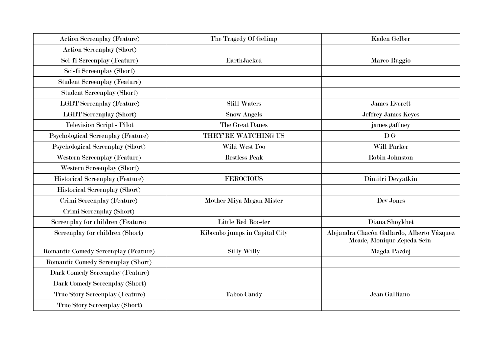| <b>Action Screenplay (Feature)</b>     | The Tragedy Of Gelimp         | <b>Kaden Gelber</b>                                                      |
|----------------------------------------|-------------------------------|--------------------------------------------------------------------------|
| <b>Action Screenplay (Short)</b>       |                               |                                                                          |
| Sci-fi Screenplay (Feature)            | <b>EarthJacked</b>            | Marco Ruggio                                                             |
| Sci-fi Screenplay (Short)              |                               |                                                                          |
| <b>Student Screenplay (Feature)</b>    |                               |                                                                          |
| <b>Student Screenplay (Short)</b>      |                               |                                                                          |
| <b>LGBT</b> Screenplay (Feature)       | <b>Still Waters</b>           | <b>James Everett</b>                                                     |
| <b>LGBT</b> Screenplay (Short)         | <b>Snow Angels</b>            | Jeffrey James Keyes                                                      |
| Television Script - Pilot              | The Great Danes               | james gaffney                                                            |
| Psychological Screenplay (Feature)     | THEY'RE WATCHING US           | $\overline{D}$ G                                                         |
| Psychological Screenplay (Short)       | Wild West Too                 | Will Parker                                                              |
| Western Screenplay (Feature)           | <b>Restless Peak</b>          | Robin Johnston                                                           |
| Western Screenplay (Short)             |                               |                                                                          |
| <b>Historical Screenplay (Feature)</b> | <b>FEROCIOUS</b>              | Dimitri Devyatkin                                                        |
| <b>Historical Screenplay (Short)</b>   |                               |                                                                          |
| Crimi Screenplay (Feature)             | Mother Miya Megan Mister      | Dev Jones                                                                |
| Crimi Screenplay (Short)               |                               |                                                                          |
| Screenplay for children (Feature)      | Little Red Rooster            | Diana Shoykhet                                                           |
| Screenplay for children (Short)        | Kibombo jumps in Capital City | Alejandra Chacón Gallardo, Alberto Vázquez<br>Meade, Monique Zepeda Sein |
| Romantic Comedy Screenplay (Feature)   | <b>Silly Willy</b>            | Magda Pazdej                                                             |
| Romantic Comedy Screenplay (Short)     |                               |                                                                          |
| Dark Comedy Screenplay (Feature)       |                               |                                                                          |
| Dark Comedy Screenplay (Short)         |                               |                                                                          |
| True Story Screenplay (Feature)        | <b>Taboo Candy</b>            | Jean Galliano                                                            |
| True Story Screenplay (Short)          |                               |                                                                          |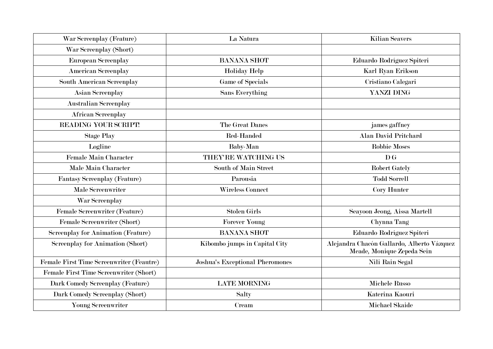| War Screenplay (Feature)                  | La Natura                              | <b>Kilian Seavers</b>                                                    |
|-------------------------------------------|----------------------------------------|--------------------------------------------------------------------------|
| War Screenplay (Short)                    |                                        |                                                                          |
| European Screenplay                       | <b>BANANA SHOT</b>                     | Eduardo Rodríguez Spiteri                                                |
| <b>American Screenplay</b>                | <b>Holiday Help</b>                    | Karl Ryan Erikson                                                        |
| South American Screenplay                 | <b>Game of Specials</b>                | Cristiano Calegari                                                       |
| <b>Asian Screenplay</b>                   | <b>Sans Everything</b>                 | YANZI DING                                                               |
| <b>Australian Screenplay</b>              |                                        |                                                                          |
| <b>African Screenplay</b>                 |                                        |                                                                          |
| <b>READING YOUR SCRIPT!</b>               | The Great Danes                        | james gaffney                                                            |
| <b>Stage Play</b>                         | Red-Handed                             | <b>Alan David Pritchard</b>                                              |
| Logline                                   | <b>Baby-Man</b>                        | <b>Robbie Moses</b>                                                      |
| <b>Female Main Character</b>              | <b>THEY'RE WATCHING US</b>             | $\mathbf{D} \mathbf{G}$                                                  |
| Male Main Character                       | South of Main Street                   | <b>Robert Gately</b>                                                     |
| Fantasy Screenplay (Feature)              | Parousia                               | <b>Todd Sorrell</b>                                                      |
| <b>Male Screenwriter</b>                  | <b>Wireless Connect</b>                | Cory Hunter                                                              |
| War Screenplay                            |                                        |                                                                          |
| Female Screenwriter (Feature)             | <b>Stolen Girls</b>                    | Seayoon Jeong, Aissa Martell                                             |
| Female Screenwriter (Short)               | <b>Forever Young</b>                   | Chynna Tang                                                              |
| <b>Screenplay for Animation (Feature)</b> | <b>BANANA SHOT</b>                     | Eduardo Rodríguez Spiteri                                                |
| <b>Screenplay for Animation (Short)</b>   | Kibombo jumps in Capital City          | Alejandra Chacón Gallardo, Alberto Vázquez<br>Meade, Monique Zepeda Sein |
| Female First Time Screenwriter (Feautre)  | <b>Joshua's Exceptional Pheromones</b> | Nili Rain Segal                                                          |
| Female First Time Screenwriter (Short)    |                                        |                                                                          |
| Dark Comedy Screenplay (Feature)          | <b>LATE MORNING</b>                    | Michele Russo                                                            |
| Dark Comedy Screenplay (Short)            | Salty                                  | Katerina Kaouri                                                          |
| Young Screenwriter                        | Cream                                  | <b>Michael Skaide</b>                                                    |